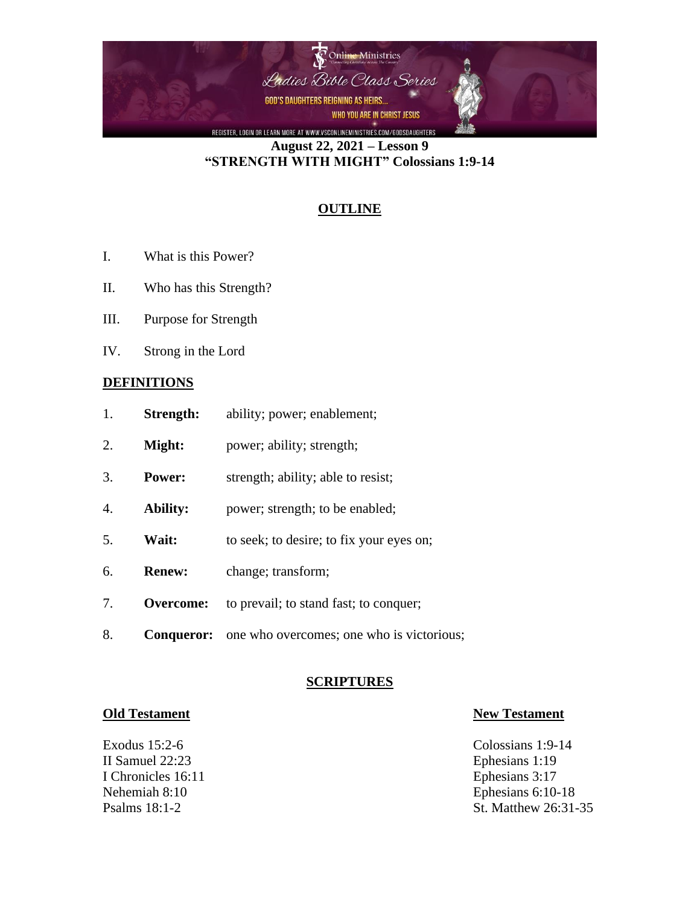

**August 22, 2021 – Lesson 9 "STRENGTH WITH MIGHT" Colossians 1:9-14**

# **OUTLINE**

- I. What is this Power?
- II. Who has this Strength?
- III. Purpose for Strength
- IV. Strong in the Lord

## **DEFINITIONS**

| Strength: | ability; power; enablement; |
|-----------|-----------------------------|
|           |                             |

- 2. **Might:** power; ability; strength;
- 3. **Power:** strength; ability; able to resist;
- 4. **Ability:** power; strength; to be enabled;
- 5. **Wait:** to seek; to desire; to fix your eyes on;
- 6. **Renew:** change; transform;
- 7. **Overcome:** to prevail; to stand fast; to conquer;
- 8. **Conqueror:** one who overcomes; one who is victorious;

### **SCRIPTURES**

Exodus 15:2-6 Colossians 1:9-14 II Samuel 22:23 Ephesians 1:19 I Chronicles 16:11 Ephesians 3:17

### **Old Testament New Testament**

Nehemiah 8:10 Ephesians 6:10-18 Psalms 18:1-2 St. Matthew 26:31-35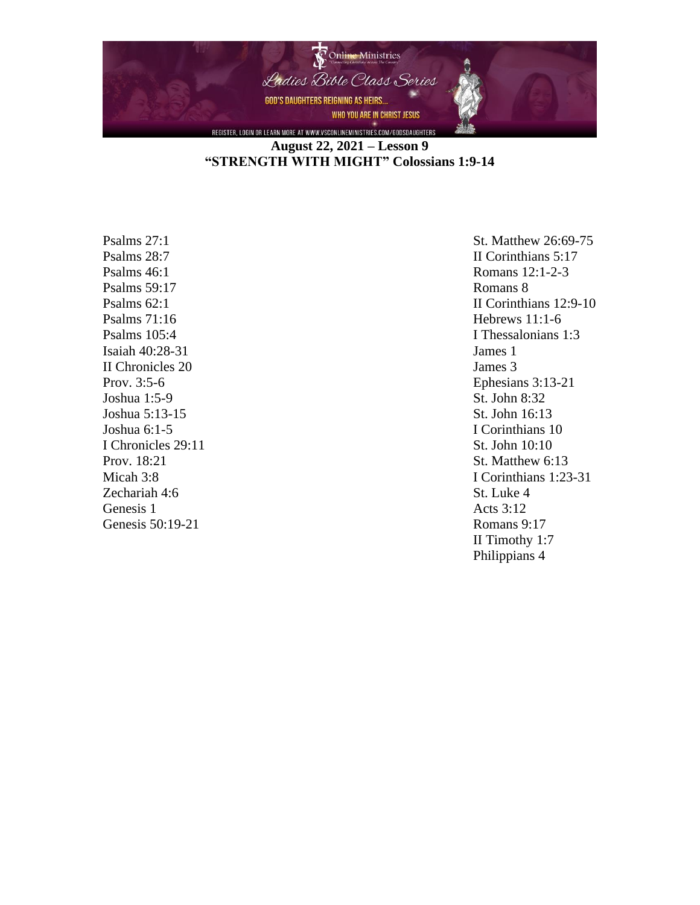

# **August 22, 2021 – Lesson 9 "STRENGTH WITH MIGHT" Colossians 1:9-14**

Psalms 59:17 Romans 8 Psalms 71:16 Hebrews 11:1-6 Isaiah 40:28-31 James 1 II Chronicles 20 James 3 Joshua 1:5-9 St. John 8:32 Joshua 5:13-15 St. John 16:13 I Chronicles 29:11 St. John 10:10 Zechariah 4:6 St. Luke 4 Genesis 1 Acts 3:12

Psalms 27:1 St. Matthew 26:69-75 Psalms 28:7 II Corinthians 5:17 Psalms 46:1 Romans 12:1-2-3 Psalms 62:1 **II** Corinthians 12:9-10 Psalms 105:4 I Thessalonians 1:3 Prov. 3:5-6 Ephesians 3:13-21 Joshua 6:1-5 I Corinthians 10 Prov. 18:21 St. Matthew 6:13 Micah 3:8 I Corinthians 1:23-31 Genesis 50:19-21 Romans 9:17 II Timothy 1:7 Philippians 4